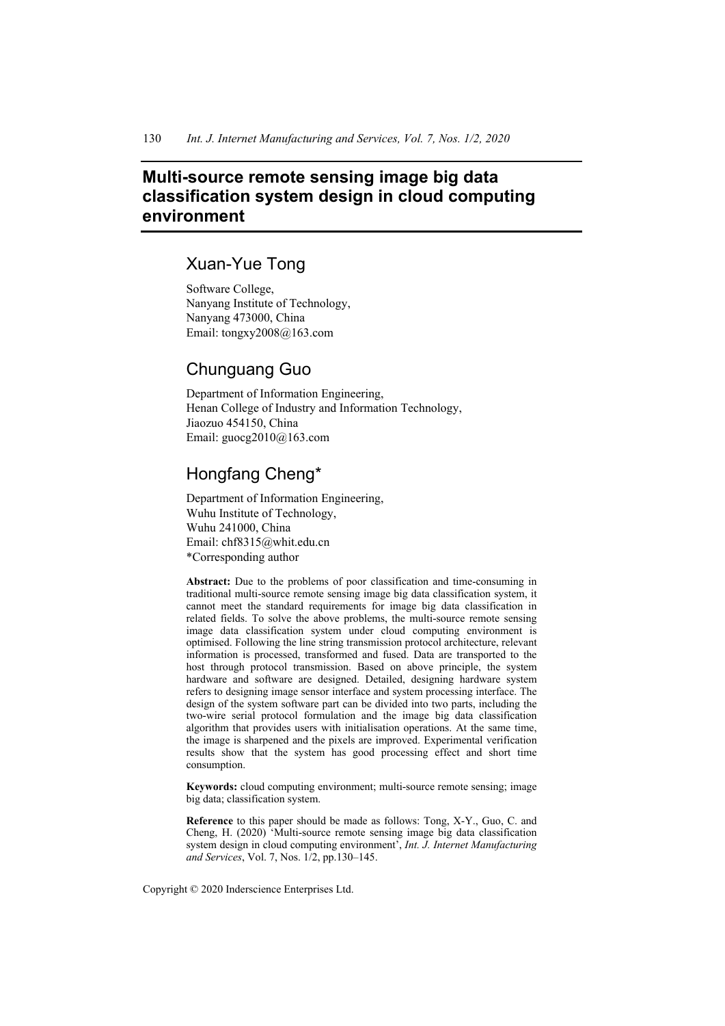## **Multi-source remote sensing image big data classification system design in cloud computing environment**

## Xuan-Yue Tong

Software College, Nanyang Institute of Technology, Nanyang 473000, China Email: tongxy2008@163.com

## Chunguang Guo

Department of Information Engineering, Henan College of Industry and Information Technology, Jiaozuo 454150, China Email: guocg2010@163.com

# Hongfang Cheng\*

Department of Information Engineering, Wuhu Institute of Technology, Wuhu 241000, China Email: chf8315@whit.edu.cn \*Corresponding author

**Abstract:** Due to the problems of poor classification and time-consuming in traditional multi-source remote sensing image big data classification system, it cannot meet the standard requirements for image big data classification in related fields. To solve the above problems, the multi-source remote sensing image data classification system under cloud computing environment is optimised. Following the line string transmission protocol architecture, relevant information is processed, transformed and fused. Data are transported to the host through protocol transmission. Based on above principle, the system hardware and software are designed. Detailed, designing hardware system refers to designing image sensor interface and system processing interface. The design of the system software part can be divided into two parts, including the two-wire serial protocol formulation and the image big data classification algorithm that provides users with initialisation operations. At the same time, the image is sharpened and the pixels are improved. Experimental verification results show that the system has good processing effect and short time consumption.

**Keywords:** cloud computing environment; multi-source remote sensing; image big data; classification system.

**Reference** to this paper should be made as follows: Tong, X-Y., Guo, C. and Cheng, H. (2020) 'Multi-source remote sensing image big data classification system design in cloud computing environment', *Int. J. Internet Manufacturing and Services*, Vol. 7, Nos. 1/2, pp.130–145.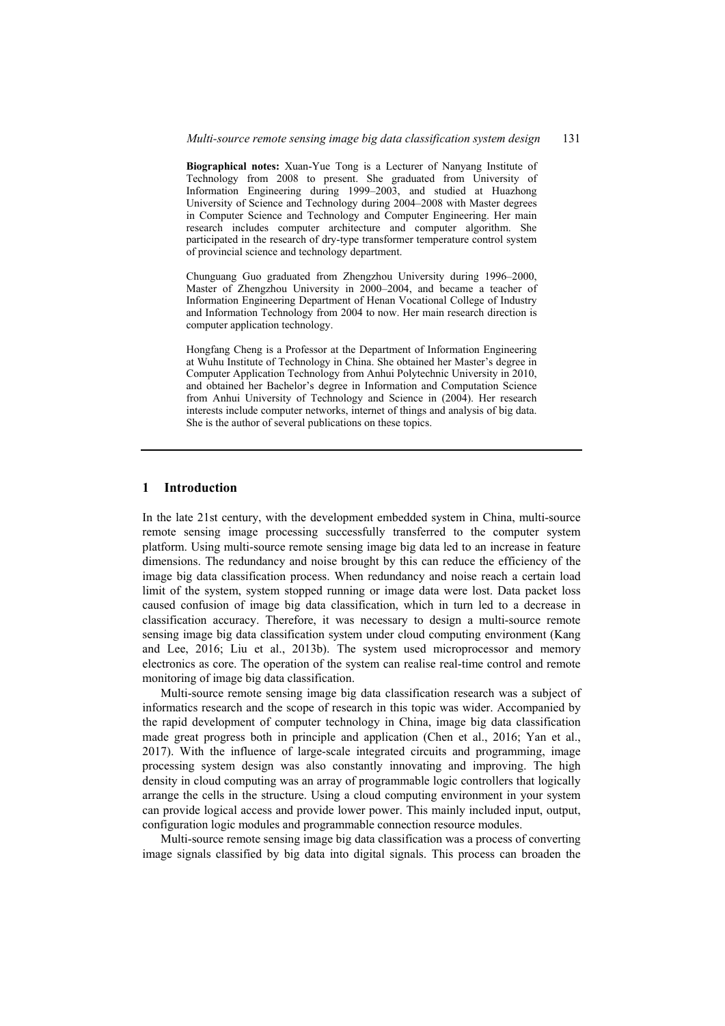**Biographical notes:** Xuan-Yue Tong is a Lecturer of Nanyang Institute of Technology from 2008 to present. She graduated from University of Information Engineering during 1999–2003, and studied at Huazhong University of Science and Technology during 2004–2008 with Master degrees in Computer Science and Technology and Computer Engineering. Her main research includes computer architecture and computer algorithm. She participated in the research of dry-type transformer temperature control system of provincial science and technology department.

Chunguang Guo graduated from Zhengzhou University during 1996–2000, Master of Zhengzhou University in 2000–2004, and became a teacher of Information Engineering Department of Henan Vocational College of Industry and Information Technology from 2004 to now. Her main research direction is computer application technology.

Hongfang Cheng is a Professor at the Department of Information Engineering at Wuhu Institute of Technology in China. She obtained her Master's degree in Computer Application Technology from Anhui Polytechnic University in 2010, and obtained her Bachelor's degree in Information and Computation Science from Anhui University of Technology and Science in (2004). Her research interests include computer networks, internet of things and analysis of big data. She is the author of several publications on these topics.

#### **1 Introduction**

In the late 21st century, with the development embedded system in China, multi-source remote sensing image processing successfully transferred to the computer system platform. Using multi-source remote sensing image big data led to an increase in feature dimensions. The redundancy and noise brought by this can reduce the efficiency of the image big data classification process. When redundancy and noise reach a certain load limit of the system, system stopped running or image data were lost. Data packet loss caused confusion of image big data classification, which in turn led to a decrease in classification accuracy. Therefore, it was necessary to design a multi-source remote sensing image big data classification system under cloud computing environment (Kang and Lee, 2016; Liu et al., 2013b). The system used microprocessor and memory electronics as core. The operation of the system can realise real-time control and remote monitoring of image big data classification.

Multi-source remote sensing image big data classification research was a subject of informatics research and the scope of research in this topic was wider. Accompanied by the rapid development of computer technology in China, image big data classification made great progress both in principle and application (Chen et al., 2016; Yan et al., 2017). With the influence of large-scale integrated circuits and programming, image processing system design was also constantly innovating and improving. The high density in cloud computing was an array of programmable logic controllers that logically arrange the cells in the structure. Using a cloud computing environment in your system can provide logical access and provide lower power. This mainly included input, output, configuration logic modules and programmable connection resource modules.

Multi-source remote sensing image big data classification was a process of converting image signals classified by big data into digital signals. This process can broaden the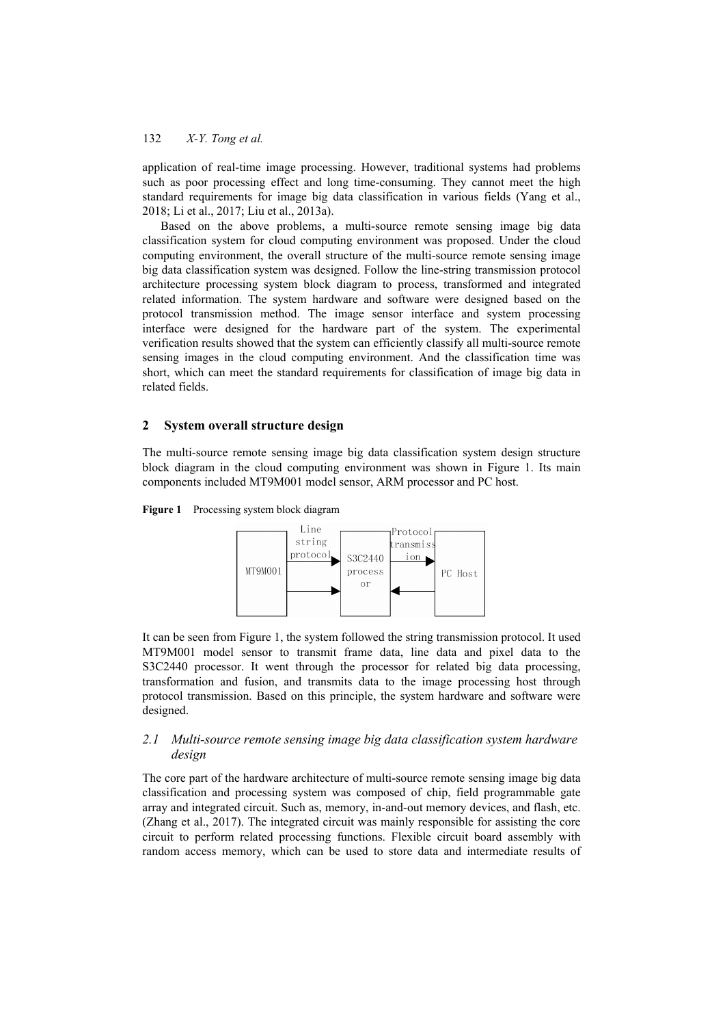application of real-time image processing. However, traditional systems had problems such as poor processing effect and long time-consuming. They cannot meet the high standard requirements for image big data classification in various fields (Yang et al., 2018; Li et al., 2017; Liu et al., 2013a).

Based on the above problems, a multi-source remote sensing image big data classification system for cloud computing environment was proposed. Under the cloud computing environment, the overall structure of the multi-source remote sensing image big data classification system was designed. Follow the line-string transmission protocol architecture processing system block diagram to process, transformed and integrated related information. The system hardware and software were designed based on the protocol transmission method. The image sensor interface and system processing interface were designed for the hardware part of the system. The experimental verification results showed that the system can efficiently classify all multi-source remote sensing images in the cloud computing environment. And the classification time was short, which can meet the standard requirements for classification of image big data in related fields.

## **2 System overall structure design**

The multi-source remote sensing image big data classification system design structure block diagram in the cloud computing environment was shown in Figure 1. Its main components included MT9M001 model sensor, ARM processor and PC host.





It can be seen from Figure 1, the system followed the string transmission protocol. It used MT9M001 model sensor to transmit frame data, line data and pixel data to the S3C2440 processor. It went through the processor for related big data processing, transformation and fusion, and transmits data to the image processing host through protocol transmission. Based on this principle, the system hardware and software were designed.

## *2.1 Multi-source remote sensing image big data classification system hardware design*

The core part of the hardware architecture of multi-source remote sensing image big data classification and processing system was composed of chip, field programmable gate array and integrated circuit. Such as, memory, in-and-out memory devices, and flash, etc. (Zhang et al., 2017). The integrated circuit was mainly responsible for assisting the core circuit to perform related processing functions. Flexible circuit board assembly with random access memory, which can be used to store data and intermediate results of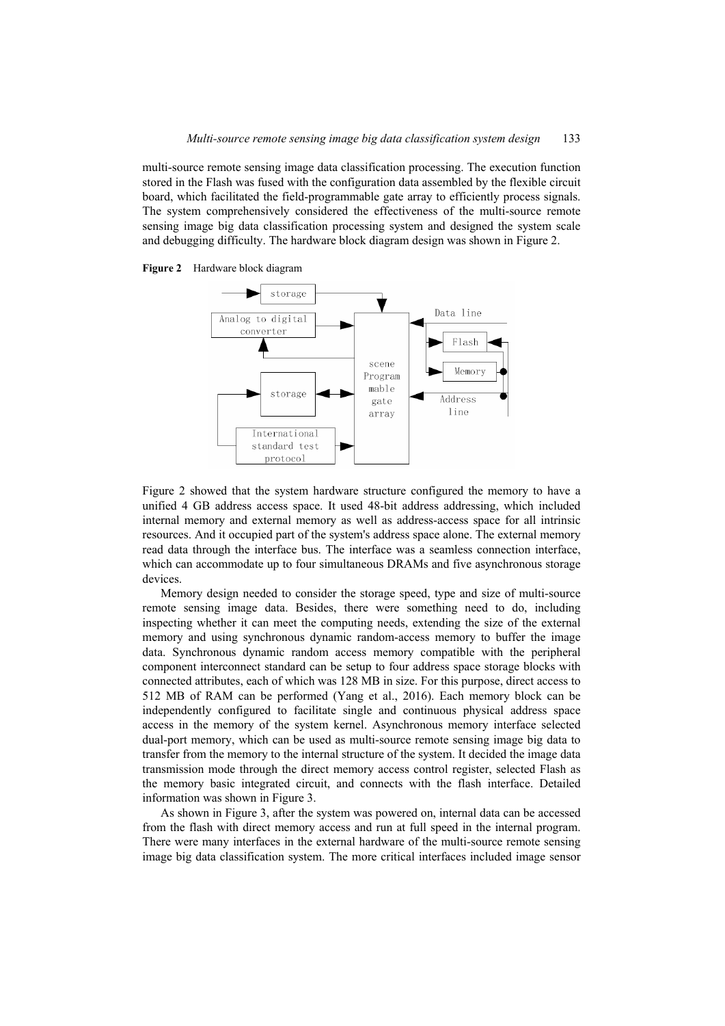multi-source remote sensing image data classification processing. The execution function stored in the Flash was fused with the configuration data assembled by the flexible circuit board, which facilitated the field-programmable gate array to efficiently process signals. The system comprehensively considered the effectiveness of the multi-source remote sensing image big data classification processing system and designed the system scale and debugging difficulty. The hardware block diagram design was shown in Figure 2.



**Figure 2** Hardware block diagram

Figure 2 showed that the system hardware structure configured the memory to have a unified 4 GB address access space. It used 48-bit address addressing, which included internal memory and external memory as well as address-access space for all intrinsic resources. And it occupied part of the system's address space alone. The external memory read data through the interface bus. The interface was a seamless connection interface, which can accommodate up to four simultaneous DRAMs and five asynchronous storage devices.

Memory design needed to consider the storage speed, type and size of multi-source remote sensing image data. Besides, there were something need to do, including inspecting whether it can meet the computing needs, extending the size of the external memory and using synchronous dynamic random-access memory to buffer the image data. Synchronous dynamic random access memory compatible with the peripheral component interconnect standard can be setup to four address space storage blocks with connected attributes, each of which was 128 MB in size. For this purpose, direct access to 512 MB of RAM can be performed (Yang et al., 2016). Each memory block can be independently configured to facilitate single and continuous physical address space access in the memory of the system kernel. Asynchronous memory interface selected dual-port memory, which can be used as multi-source remote sensing image big data to transfer from the memory to the internal structure of the system. It decided the image data transmission mode through the direct memory access control register, selected Flash as the memory basic integrated circuit, and connects with the flash interface. Detailed information was shown in Figure 3.

As shown in Figure 3, after the system was powered on, internal data can be accessed from the flash with direct memory access and run at full speed in the internal program. There were many interfaces in the external hardware of the multi-source remote sensing image big data classification system. The more critical interfaces included image sensor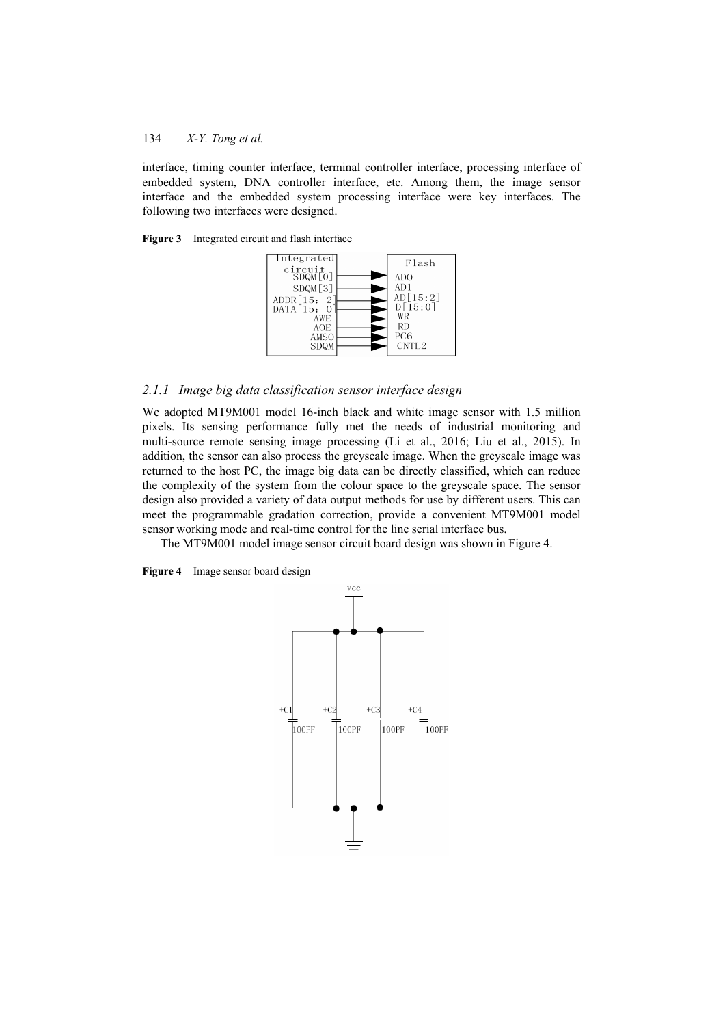interface, timing counter interface, terminal controller interface, processing interface of embedded system, DNA controller interface, etc. Among them, the image sensor interface and the embedded system processing interface were key interfaces. The following two interfaces were designed.





#### *2.1.1 Image big data classification sensor interface design*

We adopted MT9M001 model 16-inch black and white image sensor with 1.5 million pixels. Its sensing performance fully met the needs of industrial monitoring and multi-source remote sensing image processing (Li et al., 2016; Liu et al., 2015). In addition, the sensor can also process the greyscale image. When the greyscale image was returned to the host PC, the image big data can be directly classified, which can reduce the complexity of the system from the colour space to the greyscale space. The sensor design also provided a variety of data output methods for use by different users. This can meet the programmable gradation correction, provide a convenient MT9M001 model sensor working mode and real-time control for the line serial interface bus.

The MT9M001 model image sensor circuit board design was shown in Figure 4.

**Figure 4** Image sensor board design

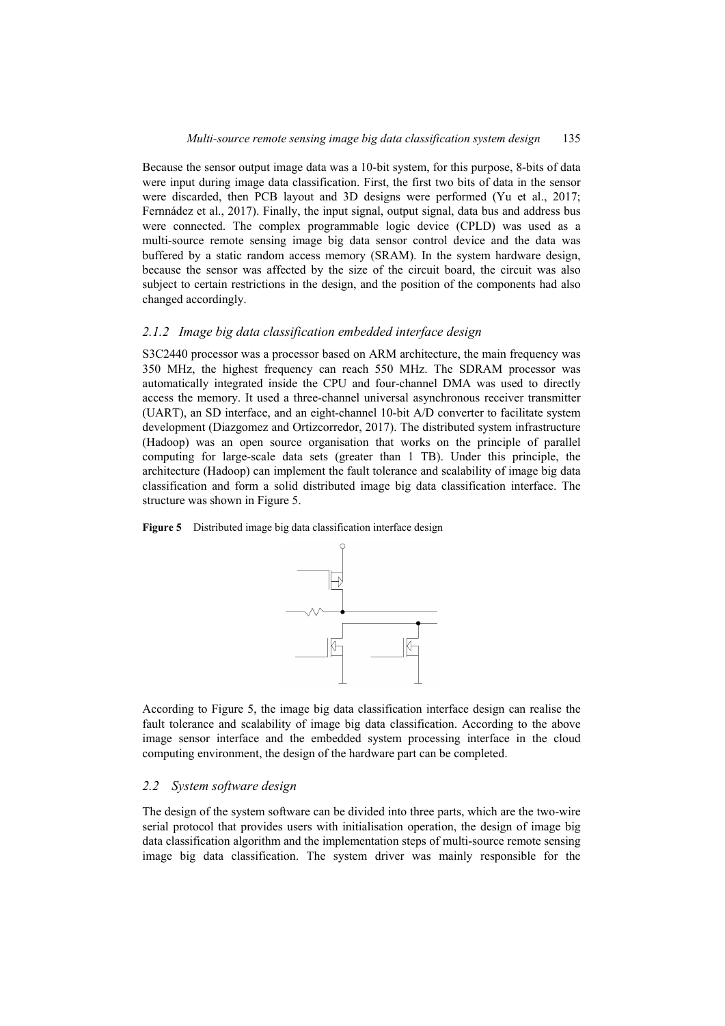Because the sensor output image data was a 10-bit system, for this purpose, 8-bits of data were input during image data classification. First, the first two bits of data in the sensor were discarded, then PCB layout and 3D designs were performed (Yu et al., 2017; Fernnádez et al., 2017). Finally, the input signal, output signal, data bus and address bus were connected. The complex programmable logic device (CPLD) was used as a multi-source remote sensing image big data sensor control device and the data was buffered by a static random access memory (SRAM). In the system hardware design, because the sensor was affected by the size of the circuit board, the circuit was also subject to certain restrictions in the design, and the position of the components had also changed accordingly.

## *2.1.2 Image big data classification embedded interface design*

S3C2440 processor was a processor based on ARM architecture, the main frequency was 350 MHz, the highest frequency can reach 550 MHz. The SDRAM processor was automatically integrated inside the CPU and four-channel DMA was used to directly access the memory. It used a three-channel universal asynchronous receiver transmitter (UART), an SD interface, and an eight-channel 10-bit A/D converter to facilitate system development (Diazgomez and Ortizcorredor, 2017). The distributed system infrastructure (Hadoop) was an open source organisation that works on the principle of parallel computing for large-scale data sets (greater than 1 TB). Under this principle, the architecture (Hadoop) can implement the fault tolerance and scalability of image big data classification and form a solid distributed image big data classification interface. The structure was shown in Figure 5.

**Figure 5** Distributed image big data classification interface design



According to Figure 5, the image big data classification interface design can realise the fault tolerance and scalability of image big data classification. According to the above image sensor interface and the embedded system processing interface in the cloud computing environment, the design of the hardware part can be completed.

## *2.2 System software design*

The design of the system software can be divided into three parts, which are the two-wire serial protocol that provides users with initialisation operation, the design of image big data classification algorithm and the implementation steps of multi-source remote sensing image big data classification. The system driver was mainly responsible for the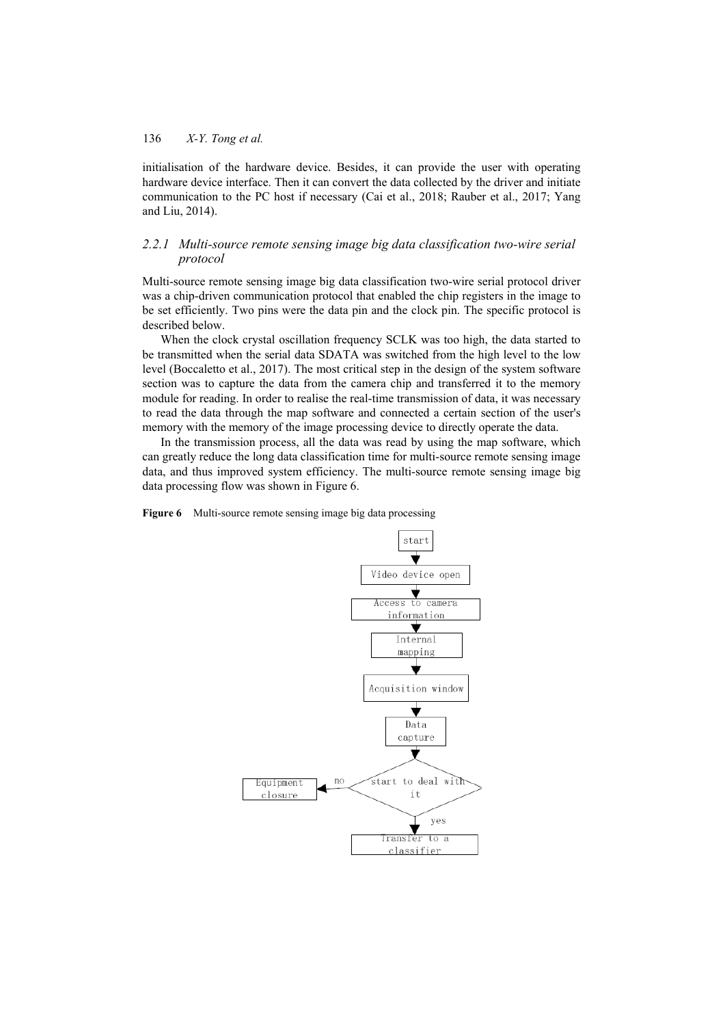initialisation of the hardware device. Besides, it can provide the user with operating hardware device interface. Then it can convert the data collected by the driver and initiate communication to the PC host if necessary (Cai et al., 2018; Rauber et al., 2017; Yang and Liu, 2014).

## *2.2.1 Multi-source remote sensing image big data classification two-wire serial protocol*

Multi-source remote sensing image big data classification two-wire serial protocol driver was a chip-driven communication protocol that enabled the chip registers in the image to be set efficiently. Two pins were the data pin and the clock pin. The specific protocol is described below.

When the clock crystal oscillation frequency SCLK was too high, the data started to be transmitted when the serial data SDATA was switched from the high level to the low level (Boccaletto et al., 2017). The most critical step in the design of the system software section was to capture the data from the camera chip and transferred it to the memory module for reading. In order to realise the real-time transmission of data, it was necessary to read the data through the map software and connected a certain section of the user's memory with the memory of the image processing device to directly operate the data.

In the transmission process, all the data was read by using the map software, which can greatly reduce the long data classification time for multi-source remote sensing image data, and thus improved system efficiency. The multi-source remote sensing image big data processing flow was shown in Figure 6.

#### **Figure 6** Multi-source remote sensing image big data processing

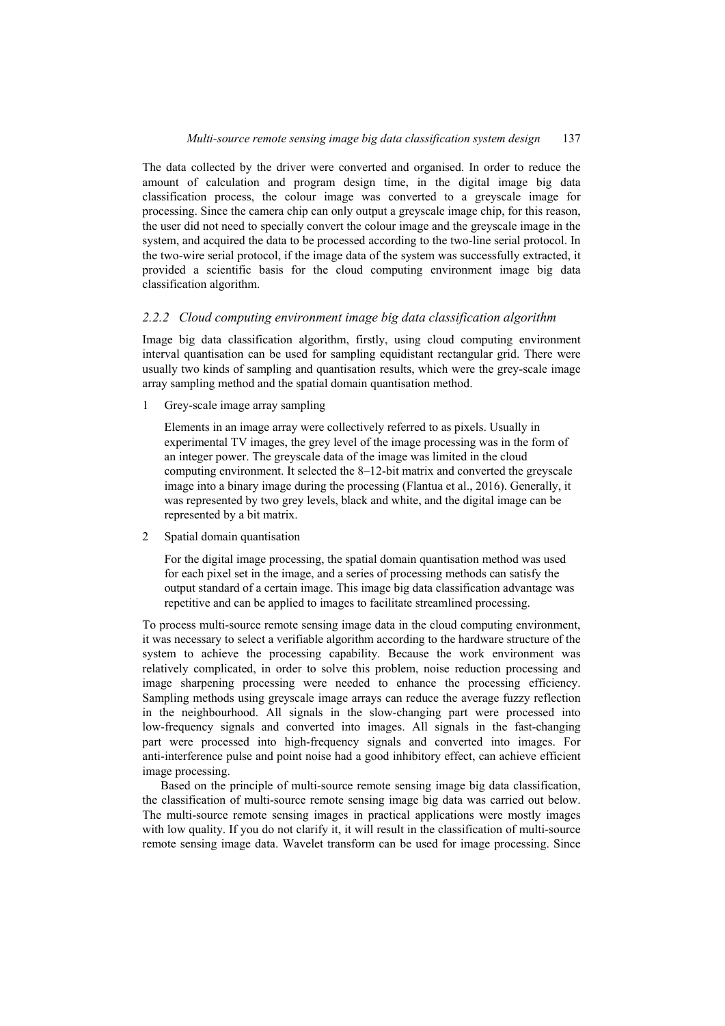The data collected by the driver were converted and organised. In order to reduce the amount of calculation and program design time, in the digital image big data classification process, the colour image was converted to a greyscale image for processing. Since the camera chip can only output a greyscale image chip, for this reason, the user did not need to specially convert the colour image and the greyscale image in the system, and acquired the data to be processed according to the two-line serial protocol. In the two-wire serial protocol, if the image data of the system was successfully extracted, it provided a scientific basis for the cloud computing environment image big data classification algorithm.

## *2.2.2 Cloud computing environment image big data classification algorithm*

Image big data classification algorithm, firstly, using cloud computing environment interval quantisation can be used for sampling equidistant rectangular grid. There were usually two kinds of sampling and quantisation results, which were the grey-scale image array sampling method and the spatial domain quantisation method.

1 Grey-scale image array sampling

Elements in an image array were collectively referred to as pixels. Usually in experimental TV images, the grey level of the image processing was in the form of an integer power. The greyscale data of the image was limited in the cloud computing environment. It selected the 8–12-bit matrix and converted the greyscale image into a binary image during the processing (Flantua et al., 2016). Generally, it was represented by two grey levels, black and white, and the digital image can be represented by a bit matrix.

2 Spatial domain quantisation

For the digital image processing, the spatial domain quantisation method was used for each pixel set in the image, and a series of processing methods can satisfy the output standard of a certain image. This image big data classification advantage was repetitive and can be applied to images to facilitate streamlined processing.

To process multi-source remote sensing image data in the cloud computing environment, it was necessary to select a verifiable algorithm according to the hardware structure of the system to achieve the processing capability. Because the work environment was relatively complicated, in order to solve this problem, noise reduction processing and image sharpening processing were needed to enhance the processing efficiency. Sampling methods using greyscale image arrays can reduce the average fuzzy reflection in the neighbourhood. All signals in the slow-changing part were processed into low-frequency signals and converted into images. All signals in the fast-changing part were processed into high-frequency signals and converted into images. For anti-interference pulse and point noise had a good inhibitory effect, can achieve efficient image processing.

Based on the principle of multi-source remote sensing image big data classification, the classification of multi-source remote sensing image big data was carried out below. The multi-source remote sensing images in practical applications were mostly images with low quality. If you do not clarify it, it will result in the classification of multi-source remote sensing image data. Wavelet transform can be used for image processing. Since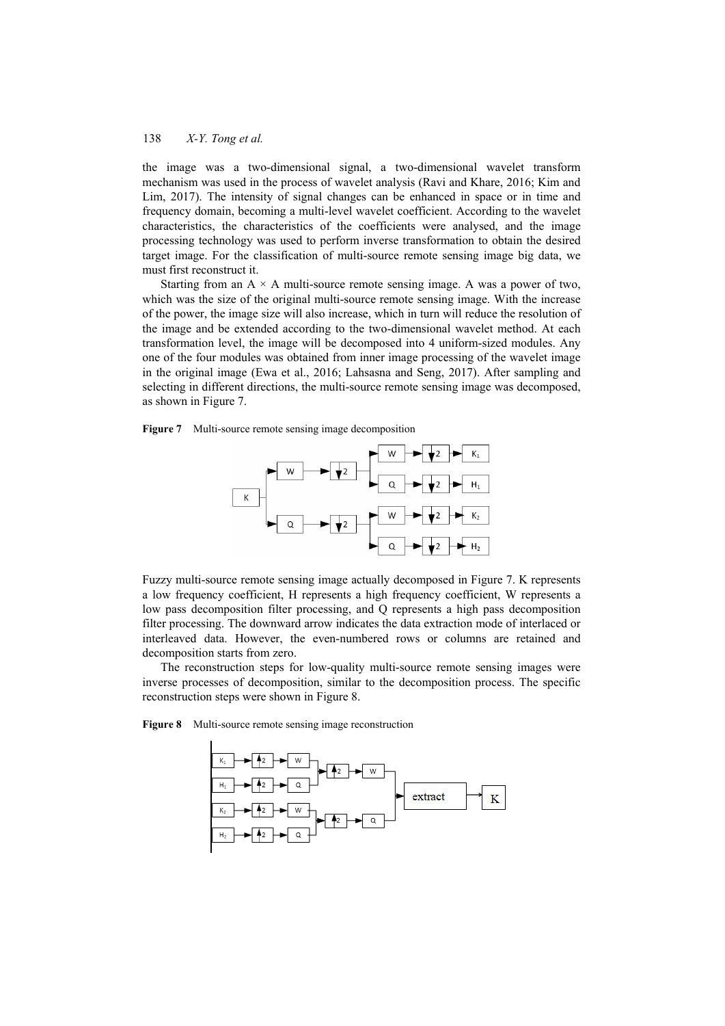the image was a two-dimensional signal, a two-dimensional wavelet transform mechanism was used in the process of wavelet analysis (Ravi and Khare, 2016; Kim and Lim, 2017). The intensity of signal changes can be enhanced in space or in time and frequency domain, becoming a multi-level wavelet coefficient. According to the wavelet characteristics, the characteristics of the coefficients were analysed, and the image processing technology was used to perform inverse transformation to obtain the desired target image. For the classification of multi-source remote sensing image big data, we must first reconstruct it.

Starting from an  $A \times A$  multi-source remote sensing image. A was a power of two, which was the size of the original multi-source remote sensing image. With the increase of the power, the image size will also increase, which in turn will reduce the resolution of the image and be extended according to the two-dimensional wavelet method. At each transformation level, the image will be decomposed into 4 uniform-sized modules. Any one of the four modules was obtained from inner image processing of the wavelet image in the original image (Ewa et al., 2016; Lahsasna and Seng, 2017). After sampling and selecting in different directions, the multi-source remote sensing image was decomposed, as shown in Figure 7.





Fuzzy multi-source remote sensing image actually decomposed in Figure 7. K represents a low frequency coefficient, H represents a high frequency coefficient, W represents a low pass decomposition filter processing, and Q represents a high pass decomposition filter processing. The downward arrow indicates the data extraction mode of interlaced or interleaved data. However, the even-numbered rows or columns are retained and decomposition starts from zero.

The reconstruction steps for low-quality multi-source remote sensing images were inverse processes of decomposition, similar to the decomposition process. The specific reconstruction steps were shown in Figure 8.

**Figure 8** Multi-source remote sensing image reconstruction

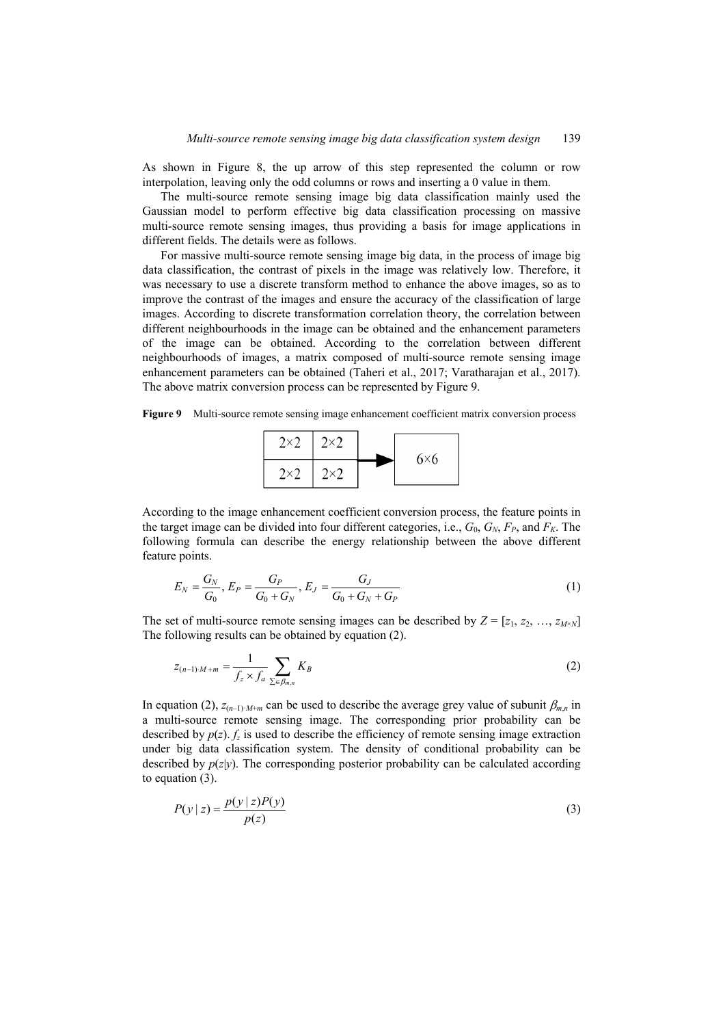As shown in Figure 8, the up arrow of this step represented the column or row interpolation, leaving only the odd columns or rows and inserting a 0 value in them.

The multi-source remote sensing image big data classification mainly used the Gaussian model to perform effective big data classification processing on massive multi-source remote sensing images, thus providing a basis for image applications in different fields. The details were as follows.

For massive multi-source remote sensing image big data, in the process of image big data classification, the contrast of pixels in the image was relatively low. Therefore, it was necessary to use a discrete transform method to enhance the above images, so as to improve the contrast of the images and ensure the accuracy of the classification of large images. According to discrete transformation correlation theory, the correlation between different neighbourhoods in the image can be obtained and the enhancement parameters of the image can be obtained. According to the correlation between different neighbourhoods of images, a matrix composed of multi-source remote sensing image enhancement parameters can be obtained (Taheri et al., 2017; Varatharajan et al., 2017). The above matrix conversion process can be represented by Figure 9.

**Figure 9** Multi-source remote sensing image enhancement coefficient matrix conversion process



According to the image enhancement coefficient conversion process, the feature points in the target image can be divided into four different categories, i.e.,  $G_0$ ,  $G_N$ ,  $F_P$ , and  $F_K$ . The following formula can describe the energy relationship between the above different feature points.

$$
E_N = \frac{G_N}{G_0}, E_P = \frac{G_P}{G_0 + G_N}, E_J = \frac{G_J}{G_0 + G_N + G_P}
$$
(1)

The set of multi-source remote sensing images can be described by  $Z = [z_1, z_2, ..., z_{M \times N}]$ The following results can be obtained by equation (2).

$$
z_{(n-1)\cdot M+m} = \frac{1}{f_z \times f_a} \sum_{\Sigma \in \beta_{m,n}} K_B \tag{2}
$$

In equation (2),  $z_{(n-1)}$ *<sub><i>M+m</sub>* can be used to describe the average grey value of subunit  $\beta_{m,n}$  in</sub> a multi-source remote sensing image. The corresponding prior probability can be described by  $p(z)$ .  $f<sub>z</sub>$  is used to describe the efficiency of remote sensing image extraction under big data classification system. The density of conditional probability can be described by  $p(z|y)$ . The corresponding posterior probability can be calculated according to equation (3).

$$
P(y \mid z) = \frac{p(y \mid z)P(y)}{p(z)}
$$
\n<sup>(3)</sup>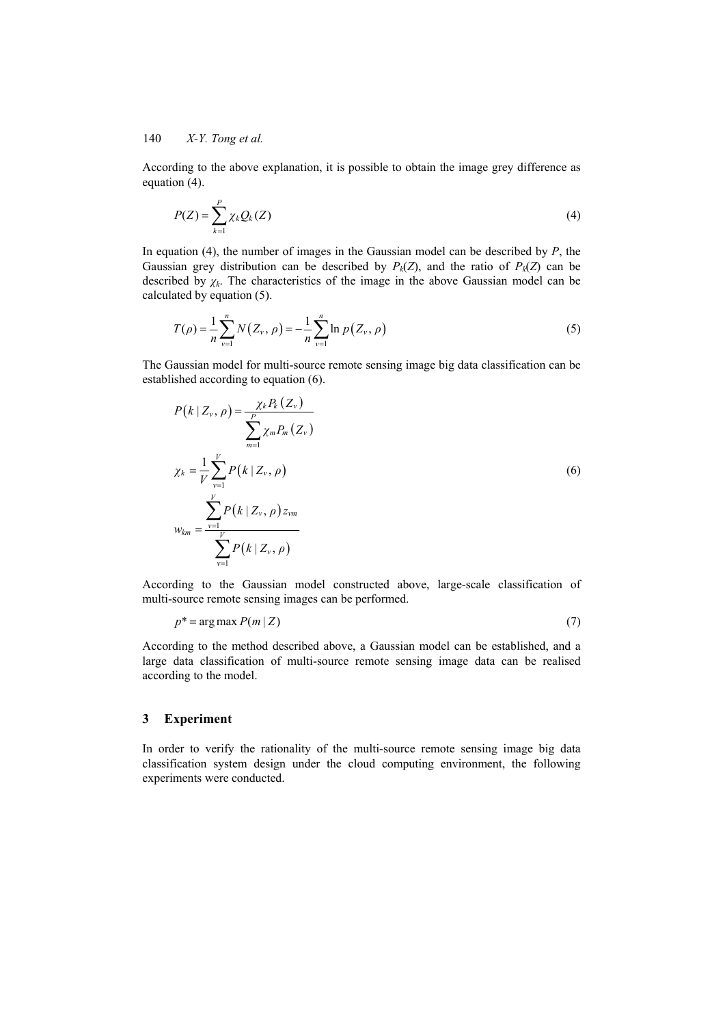According to the above explanation, it is possible to obtain the image grey difference as equation (4).

$$
P(Z) = \sum_{k=1}^{P} \chi_k Q_k(Z) \tag{4}
$$

In equation (4), the number of images in the Gaussian model can be described by *P*, the Gaussian grey distribution can be described by  $P_k(Z)$ , and the ratio of  $P_k(Z)$  can be described by  $\chi_k$ . The characteristics of the image in the above Gaussian model can be calculated by equation (5).

$$
T(\rho) = \frac{1}{n} \sum_{v=1}^{n} N(Z_v, \rho) = -\frac{1}{n} \sum_{v=1}^{n} \ln p(Z_v, \rho)
$$
 (5)

The Gaussian model for multi-source remote sensing image big data classification can be established according to equation (6).

$$
P(k | Z_{v}, \rho) = \frac{\chi_{k} P_{k}(Z_{v})}{\sum_{m=1}^{P} \chi_{m} P_{m}(Z_{v})}
$$
  

$$
\chi_{k} = \frac{1}{V} \sum_{v=1}^{V} P(k | Z_{v}, \rho)
$$
  

$$
w_{km} = \frac{\sum_{v=1}^{V} P(k | Z_{v}, \rho) z_{vm}}{\sum_{v=1}^{V} P(k | Z_{v}, \rho)}
$$
 (6)

According to the Gaussian model constructed above, large-scale classification of multi-source remote sensing images can be performed.

$$
p^* = \arg \max P(m \mid Z) \tag{7}
$$

According to the method described above, a Gaussian model can be established, and a large data classification of multi-source remote sensing image data can be realised according to the model.

#### **3 Experiment**

In order to verify the rationality of the multi-source remote sensing image big data classification system design under the cloud computing environment, the following experiments were conducted.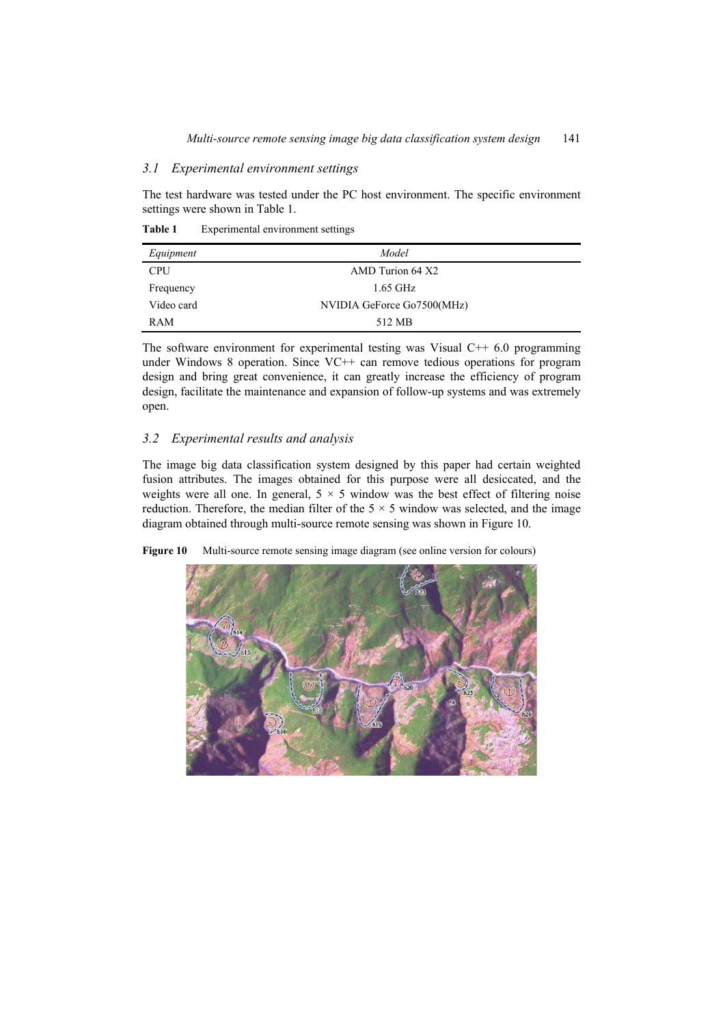### *3.1 Experimental environment settings*

The test hardware was tested under the PC host environment. The specific environment settings were shown in Table 1.

| Equipment  | Model                      |  |
|------------|----------------------------|--|
| <b>CPU</b> | AMD Turion 64 X2           |  |
| Frequency  | 1.65 GHz                   |  |
| Video card | NVIDIA GeForce Go7500(MHz) |  |
| RAM        | 512 MB                     |  |

**Table 1** Experimental environment settings

The software environment for experimental testing was Visual  $C++ 6.0$  programming under Windows 8 operation. Since VC++ can remove tedious operations for program design and bring great convenience, it can greatly increase the efficiency of program design, facilitate the maintenance and expansion of follow-up systems and was extremely open.

## *3.2 Experimental results and analysis*

The image big data classification system designed by this paper had certain weighted fusion attributes. The images obtained for this purpose were all desiccated, and the weights were all one. In general,  $5 \times 5$  window was the best effect of filtering noise reduction. Therefore, the median filter of the  $5 \times 5$  window was selected, and the image diagram obtained through multi-source remote sensing was shown in Figure 10.

Figure 10 Multi-source remote sensing image diagram (see online version for colours)

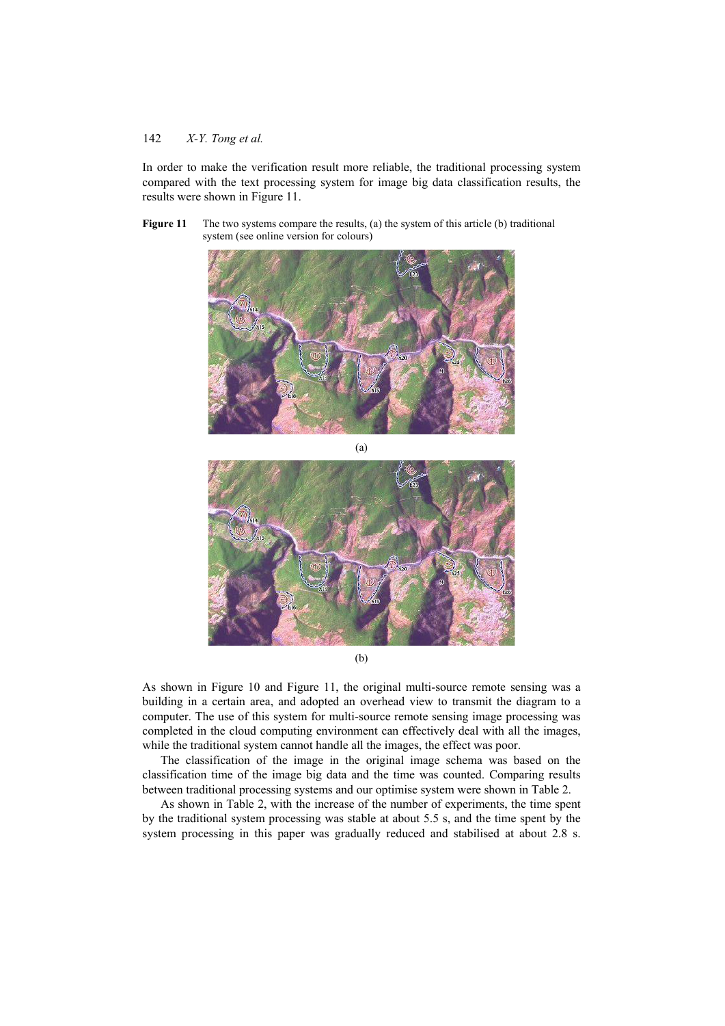#### 142 *X-Y. Tong et al.*

In order to make the verification result more reliable, the traditional processing system compared with the text processing system for image big data classification results, the results were shown in Figure 11.

**Figure 11** The two systems compare the results, (a) the system of this article (b) traditional system (see online version for colours)



(a)



(b)

As shown in Figure 10 and Figure 11, the original multi-source remote sensing was a building in a certain area, and adopted an overhead view to transmit the diagram to a computer. The use of this system for multi-source remote sensing image processing was completed in the cloud computing environment can effectively deal with all the images, while the traditional system cannot handle all the images, the effect was poor.

The classification of the image in the original image schema was based on the classification time of the image big data and the time was counted. Comparing results between traditional processing systems and our optimise system were shown in Table 2.

As shown in Table 2, with the increase of the number of experiments, the time spent by the traditional system processing was stable at about 5.5 s, and the time spent by the system processing in this paper was gradually reduced and stabilised at about 2.8 s.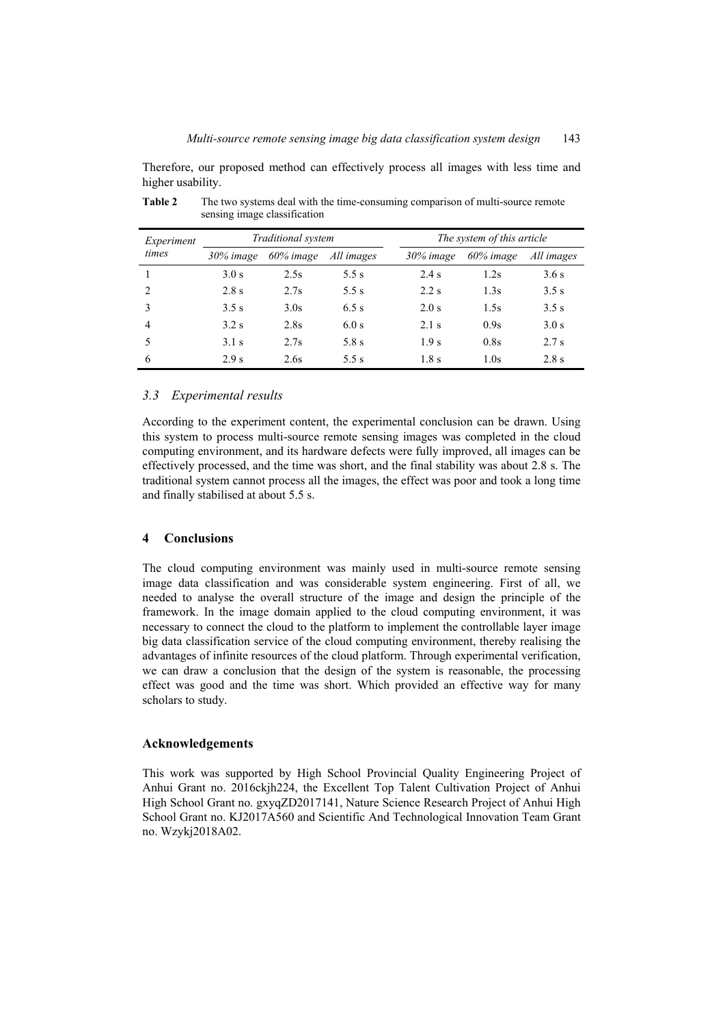Therefore, our proposed method can effectively process all images with less time and higher usability.

| Experiment<br>times      | Traditional system |                  |            | The system of this article |              |            |
|--------------------------|--------------------|------------------|------------|----------------------------|--------------|------------|
|                          | $30\%$ image       | 60% image        | All images | $30\%$ image               | $60\%$ image | All images |
|                          | 3.0 s              | 2.5s             | 5.5 s      | 2.4 s                      | 1.2s         | 3.6 s      |
| 2                        | 2.8 s              | 2.7s             | 5.5 s      | $2.2$ s                    | 1.3s         | 3.5 s      |
| 3                        | 3.5 s              | 3.0 <sub>s</sub> | 6.5 s      | 2.0 s                      | 1.5s         | 3.5 s      |
| $\overline{4}$           | 3.2 s              | 2.8s             | 6.0 s      | $2.1$ s                    | 0.9s         | 3.0 s      |
| $\overline{\phantom{0}}$ | $3.1$ s            | 2.7s             | 5.8 s      | 1.9 <sub>s</sub>           | 0.8s         | 2.7 s      |
| 6                        | 2.9 s              | 2.6s             | 5.5 s      | 1.8 s                      | 1.0s         | 2.8 s      |

**Table 2** The two systems deal with the time-consuming comparison of multi-source remote sensing image classification

## *3.3 Experimental results*

According to the experiment content, the experimental conclusion can be drawn. Using this system to process multi-source remote sensing images was completed in the cloud computing environment, and its hardware defects were fully improved, all images can be effectively processed, and the time was short, and the final stability was about 2.8 s. The traditional system cannot process all the images, the effect was poor and took a long time and finally stabilised at about 5.5 s.

#### **4 Conclusions**

The cloud computing environment was mainly used in multi-source remote sensing image data classification and was considerable system engineering. First of all, we needed to analyse the overall structure of the image and design the principle of the framework. In the image domain applied to the cloud computing environment, it was necessary to connect the cloud to the platform to implement the controllable layer image big data classification service of the cloud computing environment, thereby realising the advantages of infinite resources of the cloud platform. Through experimental verification, we can draw a conclusion that the design of the system is reasonable, the processing effect was good and the time was short. Which provided an effective way for many scholars to study.

#### **Acknowledgements**

This work was supported by High School Provincial Quality Engineering Project of Anhui Grant no. 2016ckjh224, the Excellent Top Talent Cultivation Project of Anhui High School Grant no. gxyqZD2017141, Nature Science Research Project of Anhui High School Grant no. KJ2017A560 and Scientific And Technological Innovation Team Grant no. Wzykj2018A02.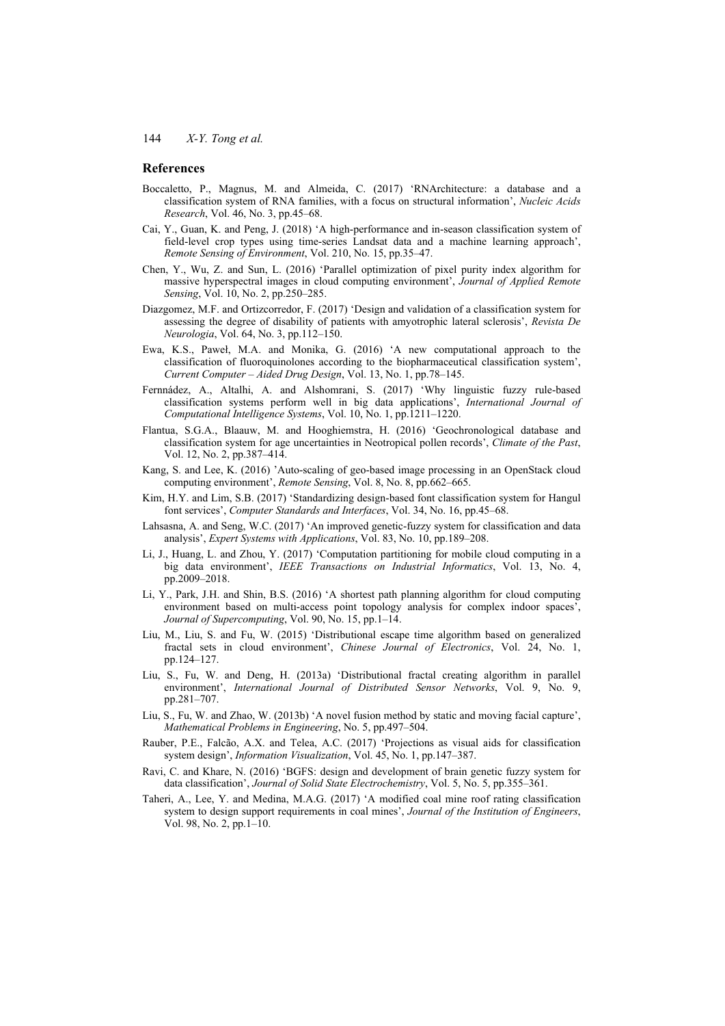#### **References**

- Boccaletto, P., Magnus, M. and Almeida, C. (2017) 'RNArchitecture: a database and a classification system of RNA families, with a focus on structural information', *Nucleic Acids Research*, Vol. 46, No. 3, pp.45–68.
- Cai, Y., Guan, K. and Peng, J. (2018) 'A high-performance and in-season classification system of field-level crop types using time-series Landsat data and a machine learning approach', *Remote Sensing of Environment*, Vol. 210, No. 15, pp.35–47.
- Chen, Y., Wu, Z. and Sun, L. (2016) 'Parallel optimization of pixel purity index algorithm for massive hyperspectral images in cloud computing environment', *Journal of Applied Remote Sensing*, Vol. 10, No. 2, pp.250–285.
- Diazgomez, M.F. and Ortizcorredor, F. (2017) 'Design and validation of a classification system for assessing the degree of disability of patients with amyotrophic lateral sclerosis', *Revista De Neurologia*, Vol. 64, No. 3, pp.112–150.
- Ewa, K.S., Paweł, M.A. and Monika, G. (2016) 'A new computational approach to the classification of fluoroquinolones according to the biopharmaceutical classification system', *Current Computer – Aided Drug Design*, Vol. 13, No. 1, pp.78–145.
- Fernnádez, A., Altalhi, A. and Alshomrani, S. (2017) 'Why linguistic fuzzy rule-based classification systems perform well in big data applications', *International Journal of Computational Intelligence Systems*, Vol. 10, No. 1, pp.1211–1220.
- Flantua, S.G.A., Blaauw, M. and Hooghiemstra, H. (2016) 'Geochronological database and classification system for age uncertainties in Neotropical pollen records', *Climate of the Past*, Vol. 12, No. 2, pp.387–414.
- Kang, S. and Lee, K. (2016) 'Auto-scaling of geo-based image processing in an OpenStack cloud computing environment', *Remote Sensing*, Vol. 8, No. 8, pp.662–665.
- Kim, H.Y. and Lim, S.B. (2017) 'Standardizing design-based font classification system for Hangul font services', *Computer Standards and Interfaces*, Vol. 34, No. 16, pp.45–68.
- Lahsasna, A. and Seng, W.C. (2017) 'An improved genetic-fuzzy system for classification and data analysis', *Expert Systems with Applications*, Vol. 83, No. 10, pp.189–208.
- Li, J., Huang, L. and Zhou, Y. (2017) 'Computation partitioning for mobile cloud computing in a big data environment', *IEEE Transactions on Industrial Informatics*, Vol. 13, No. 4, pp.2009–2018.
- Li, Y., Park, J.H. and Shin, B.S. (2016) 'A shortest path planning algorithm for cloud computing environment based on multi-access point topology analysis for complex indoor spaces', *Journal of Supercomputing*, Vol. 90, No. 15, pp.1–14.
- Liu, M., Liu, S. and Fu, W. (2015) 'Distributional escape time algorithm based on generalized fractal sets in cloud environment', *Chinese Journal of Electronics*, Vol. 24, No. 1, pp.124–127.
- Liu, S., Fu, W. and Deng, H. (2013a) 'Distributional fractal creating algorithm in parallel environment', *International Journal of Distributed Sensor Networks*, Vol. 9, No. 9, pp.281–707.
- Liu, S., Fu, W. and Zhao, W. (2013b) 'A novel fusion method by static and moving facial capture', *Mathematical Problems in Engineering*, No. 5, pp.497–504.
- Rauber, P.E., Falcão, A.X. and Telea, A.C. (2017) 'Projections as visual aids for classification system design', *Information Visualization*, Vol. 45, No. 1, pp.147–387.
- Ravi, C. and Khare, N. (2016) 'BGFS: design and development of brain genetic fuzzy system for data classification', *Journal of Solid State Electrochemistry*, Vol. 5, No. 5, pp.355–361.
- Taheri, A., Lee, Y. and Medina, M.A.G. (2017) 'A modified coal mine roof rating classification system to design support requirements in coal mines', *Journal of the Institution of Engineers*, Vol. 98, No. 2, pp.1–10.